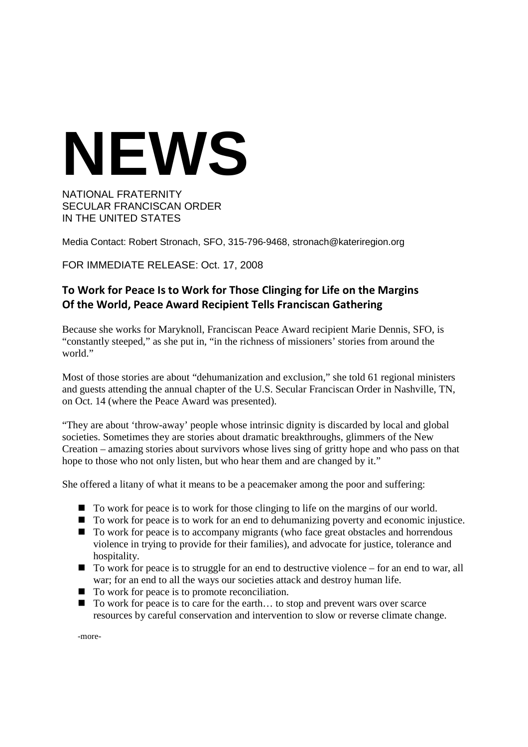## **NEWS**

NATIONAL FRATERNITY SECULAR FRANCISCAN ORDER IN THE UNITED STATES

Media Contact: Robert Stronach, SFO, 315-796-9468, stronach@kateriregion.org

FOR IMMEDIATE RELEASE: Oct. 17, 2008

## **To Work for Peace Is to Work for Those Clinging for Life on the Margins Of the World, Peace Award Recipient Tells Franciscan Gathering**

Because she works for Maryknoll, Franciscan Peace Award recipient Marie Dennis, SFO, is "constantly steeped," as she put in, "in the richness of missioners' stories from around the world."

Most of those stories are about "dehumanization and exclusion," she told 61 regional ministers and guests attending the annual chapter of the U.S. Secular Franciscan Order in Nashville, TN, on Oct. 14 (where the Peace Award was presented).

"They are about 'throw-away' people whose intrinsic dignity is discarded by local and global societies. Sometimes they are stories about dramatic breakthroughs, glimmers of the New Creation – amazing stories about survivors whose lives sing of gritty hope and who pass on that hope to those who not only listen, but who hear them and are changed by it."

She offered a litany of what it means to be a peacemaker among the poor and suffering:

- To work for peace is to work for those clinging to life on the margins of our world.
- To work for peace is to work for an end to dehumanizing poverty and economic injustice.
- $\blacksquare$  To work for peace is to accompany migrants (who face great obstacles and horrendous violence in trying to provide for their families), and advocate for justice, tolerance and hospitality.
- To work for peace is to struggle for an end to destructive violence for an end to war, all war; for an end to all the ways our societies attack and destroy human life.
- To work for peace is to promote reconciliation.
- To work for peace is to care for the earth... to stop and prevent wars over scarce resources by careful conservation and intervention to slow or reverse climate change.

-more-